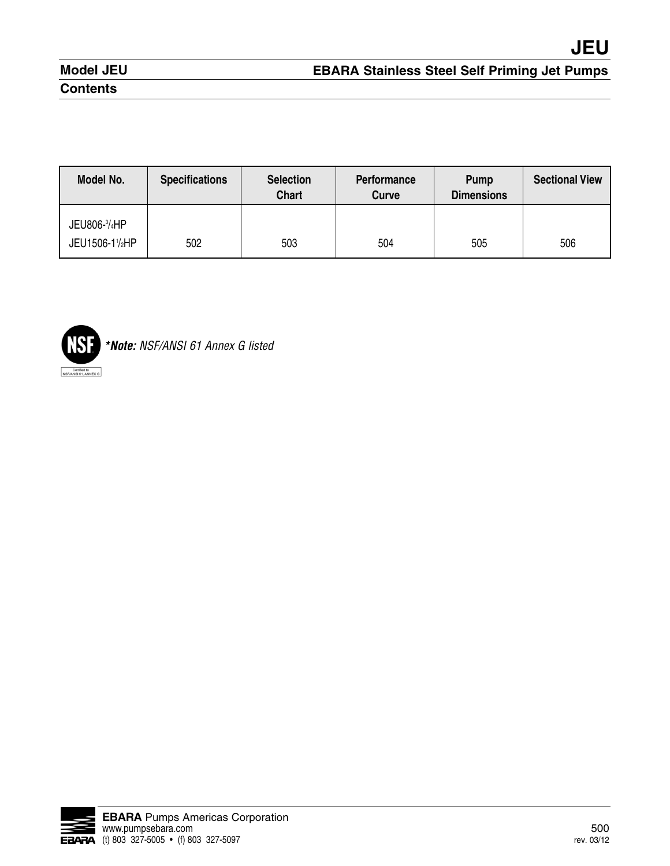| Model No.                      | <b>Specifications</b> | <b>Selection</b><br><b>Chart</b> | Performance<br>Curve | Pump<br><b>Dimensions</b> | <b>Sectional View</b> |
|--------------------------------|-----------------------|----------------------------------|----------------------|---------------------------|-----------------------|
| JEU806-3/4HP<br>JEU1506-11/2HP | 502                   | 503                              | 504                  | 505                       | 506                   |



*\*Note:* NSF/ANSI 61 Annex G listed

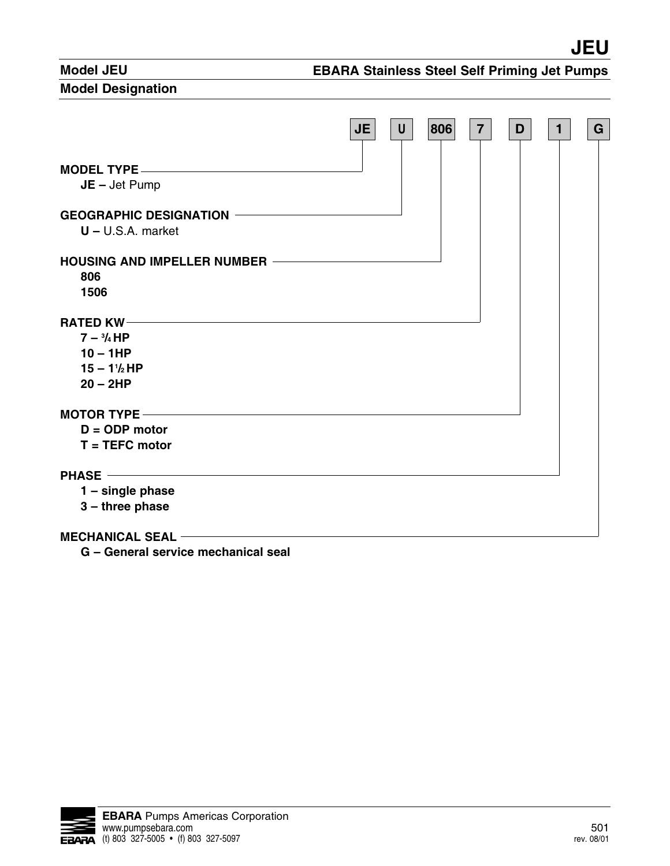## **Model JEU**

#### **EBARA Stainless Steel Self Priming Jet Pumps**

#### **Model Designation**

|                                       | <b>JE</b> | $\mathsf{U}^-$ | 806 | $\overline{7}$ | D | $\mathbf 1$ | G |
|---------------------------------------|-----------|----------------|-----|----------------|---|-------------|---|
|                                       |           |                |     |                |   |             |   |
| $JE - Jet Pump$                       |           |                |     |                |   |             |   |
|                                       |           |                |     |                |   |             |   |
| $U - U.S.A.$ market                   |           |                |     |                |   |             |   |
| HOUSING AND IMPELLER NUMBER ————————— |           |                |     |                |   |             |   |
| 806                                   |           |                |     |                |   |             |   |
| 1506                                  |           |                |     |                |   |             |   |
|                                       |           |                |     |                |   |             |   |
| $7 - \frac{3}{4}HP$                   |           |                |     |                |   |             |   |
| $10 - 1HP$                            |           |                |     |                |   |             |   |
| $15 - 1\frac{1}{2}HP$                 |           |                |     |                |   |             |   |
| $20 - 2HP$                            |           |                |     |                |   |             |   |
| MOTOR TYPE ——————————————————————     |           |                |     |                |   |             |   |
| $D = ODP$ motor                       |           |                |     |                |   |             |   |
| $T = TEFC$ motor                      |           |                |     |                |   |             |   |
| PHASE —                               |           |                |     |                |   |             |   |
| $1 -$ single phase                    |           |                |     |                |   |             |   |
| $3$ – three phase                     |           |                |     |                |   |             |   |
| <b>MECHANICAL SEAL -</b>              |           |                |     |                |   |             |   |

 **G – General service mechanical seal** 

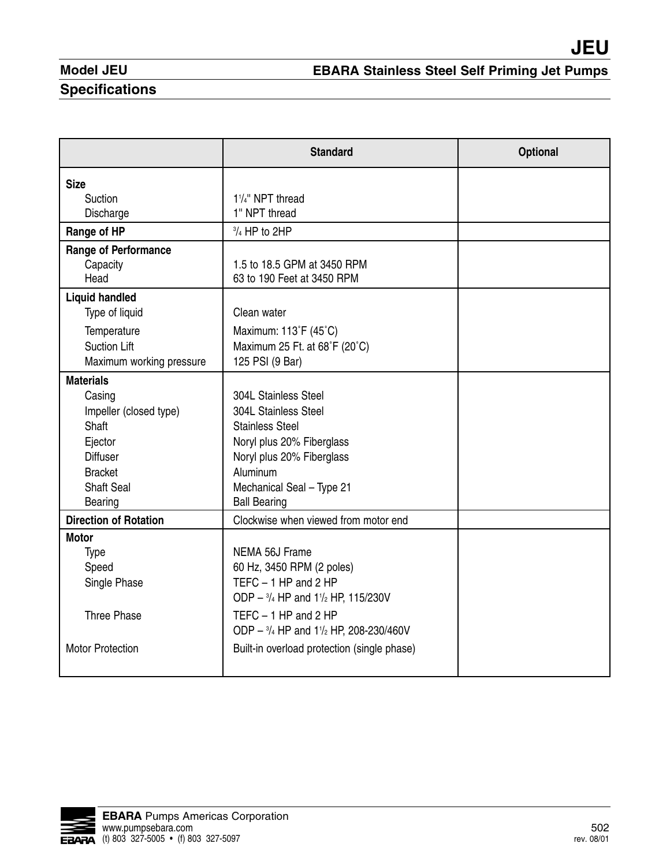# **Model JEU**

**EBARA Stainless Steel Self Priming Jet Pumps**

## **Specifications**

|                              | <b>Standard</b>                             | <b>Optional</b> |
|------------------------------|---------------------------------------------|-----------------|
| <b>Size</b>                  |                                             |                 |
| Suction                      | 1 <sup>1</sup> / <sub>4</sub> " NPT thread  |                 |
| Discharge                    | 1" NPT thread                               |                 |
| Range of HP                  | $\frac{3}{4}$ HP to 2HP                     |                 |
| <b>Range of Performance</b>  |                                             |                 |
| Capacity                     | 1.5 to 18.5 GPM at 3450 RPM                 |                 |
| Head                         | 63 to 190 Feet at 3450 RPM                  |                 |
| <b>Liquid handled</b>        |                                             |                 |
| Type of liquid               | Clean water                                 |                 |
| Temperature                  | Maximum: 113°F (45°C)                       |                 |
| <b>Suction Lift</b>          | Maximum 25 Ft. at 68°F (20°C)               |                 |
| Maximum working pressure     | 125 PSI (9 Bar)                             |                 |
| <b>Materials</b>             |                                             |                 |
| Casing                       | 304L Stainless Steel                        |                 |
| Impeller (closed type)       | 304L Stainless Steel                        |                 |
| Shaft                        | <b>Stainless Steel</b>                      |                 |
| Ejector                      | Noryl plus 20% Fiberglass                   |                 |
| <b>Diffuser</b>              | Noryl plus 20% Fiberglass                   |                 |
| <b>Bracket</b>               | Aluminum                                    |                 |
| <b>Shaft Seal</b>            | Mechanical Seal - Type 21                   |                 |
| Bearing                      | <b>Ball Bearing</b>                         |                 |
| <b>Direction of Rotation</b> | Clockwise when viewed from motor end        |                 |
| <b>Motor</b>                 |                                             |                 |
| Type                         | NEMA 56J Frame                              |                 |
| Speed                        | 60 Hz, 3450 RPM (2 poles)                   |                 |
| Single Phase                 | TEFC $-1$ HP and 2 HP                       |                 |
|                              | ODP - 3/4 HP and 11/2 HP, 115/230V          |                 |
| <b>Three Phase</b>           | TEFC $-1$ HP and 2 HP                       |                 |
|                              | ODP - 3/4 HP and 11/2 HP, 208-230/460V      |                 |
| <b>Motor Protection</b>      | Built-in overload protection (single phase) |                 |
|                              |                                             |                 |

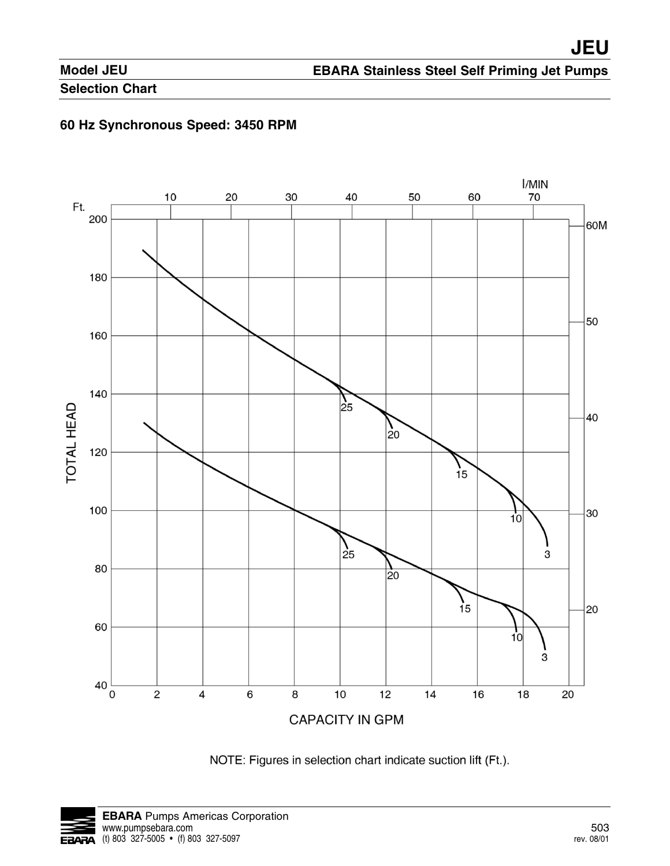### **Selection Chart**

### **60 Hz Synchronous Speed: 3450 RPM**





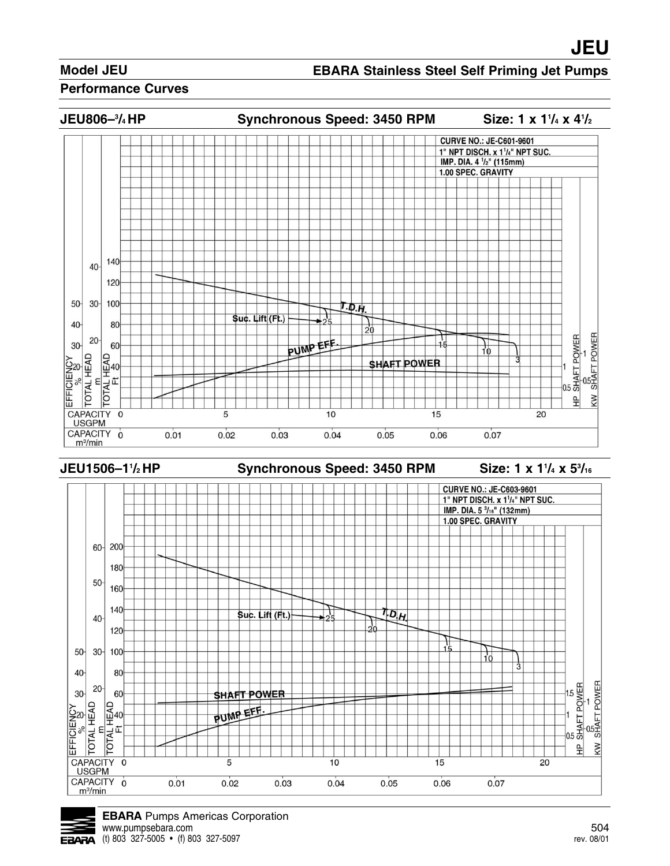#### **Model JEU**

#### **EBARA Stainless Steel Self Priming Jet Pumps**

#### **Performance Curves**





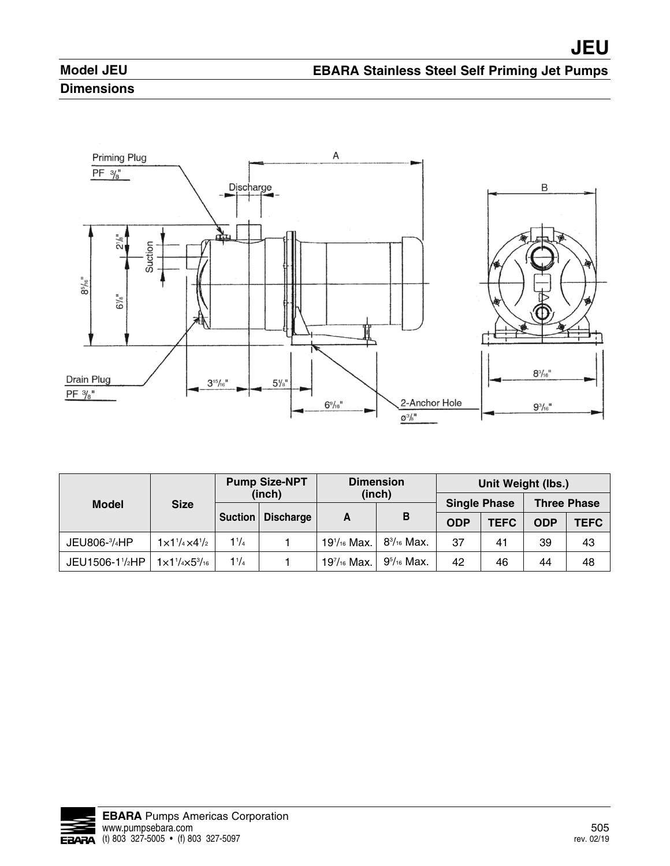### **Model JEU Dimensions**



|                |                                    | <b>Pump Size-NPT</b> |                  | <b>Dimension</b><br>(inch) |                      | Unit Weight (lbs.)  |             |                    |      |
|----------------|------------------------------------|----------------------|------------------|----------------------------|----------------------|---------------------|-------------|--------------------|------|
| <b>Model</b>   | <b>Size</b>                        |                      | (inch)           |                            |                      | <b>Single Phase</b> |             | <b>Three Phase</b> |      |
|                |                                    | <b>Suction</b>       | <b>Discharge</b> | A                          | в                    | <b>ODP</b>          | <b>TEFC</b> | <b>ODP</b>         | TEFC |
| JEU806-3/4HP   | $1 \times 1^{1/4} \times 4^{1/2}$  | $1\frac{1}{4}$       |                  | $19^{1/16}$ Max.           | $8\frac{3}{16}$ Max. | 37                  | 41          | 39                 | 43   |
| JEU1506-11/2HP | $1 \times 1^{1}/4 \times 5^{3}/16$ | $1\frac{1}{4}$       |                  | 197/16 Max.                | $95/16$ Max.         | 42                  | 46          | 44                 | 48   |